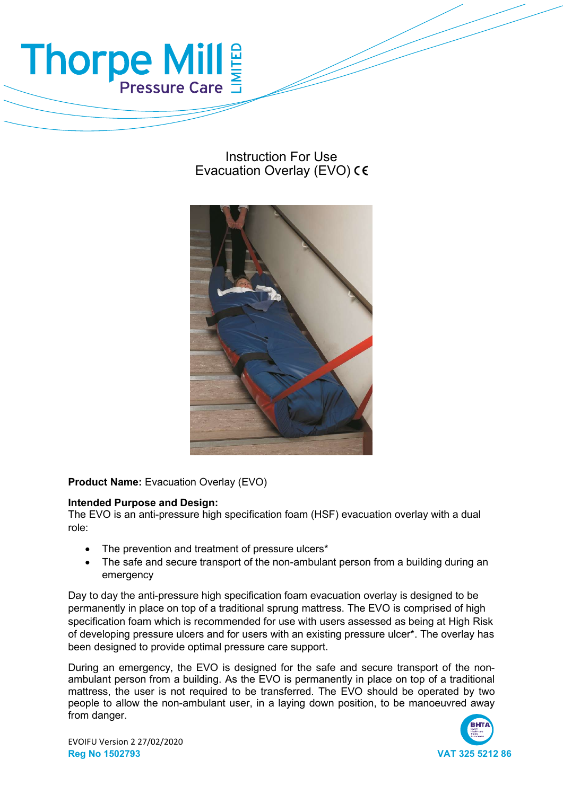

# Instruction For Use Evacuation Overlay (EVO) CE



Product Name: Evacuation Overlay (EVO)

# Intended Purpose and Design:

The EVO is an anti-pressure high specification foam (HSF) evacuation overlay with a dual role:

- The prevention and treatment of pressure ulcers\*
- The safe and secure transport of the non-ambulant person from a building during an emergency

Day to day the anti-pressure high specification foam evacuation overlay is designed to be permanently in place on top of a traditional sprung mattress. The EVO is comprised of high specification foam which is recommended for use with users assessed as being at High Risk of developing pressure ulcers and for users with an existing pressure ulcer\*. The overlay has been designed to provide optimal pressure care support.

During an emergency, the EVO is designed for the safe and secure transport of the nonambulant person from a building. As the EVO is permanently in place on top of a traditional mattress, the user is not required to be transferred. The EVO should be operated by two people to allow the non-ambulant user, in a laying down position, to be manoeuvred away from danger.

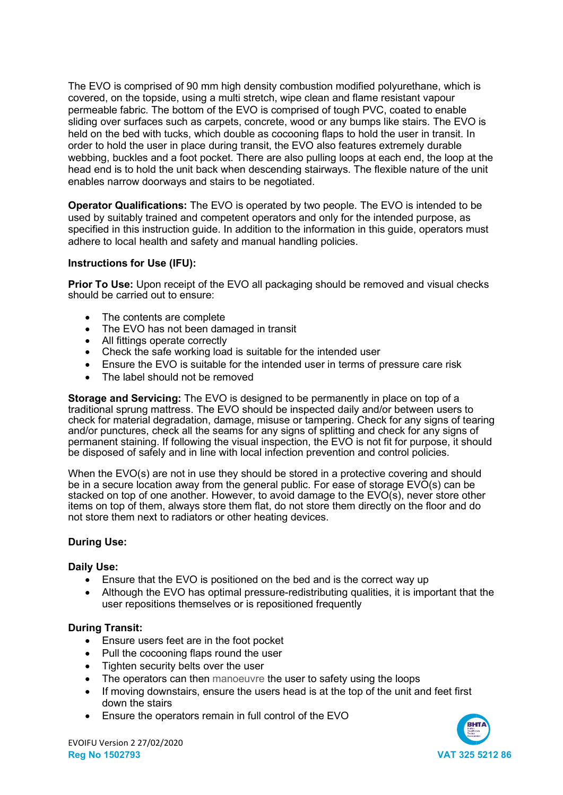The EVO is comprised of 90 mm high density combustion modified polyurethane, which is covered, on the topside, using a multi stretch, wipe clean and flame resistant vapour permeable fabric. The bottom of the EVO is comprised of tough PVC, coated to enable sliding over surfaces such as carpets, concrete, wood or any bumps like stairs. The EVO is held on the bed with tucks, which double as cocooning flaps to hold the user in transit. In order to hold the user in place during transit, the EVO also features extremely durable webbing, buckles and a foot pocket. There are also pulling loops at each end, the loop at the head end is to hold the unit back when descending stairways. The flexible nature of the unit enables narrow doorways and stairs to be negotiated.

Operator Qualifications: The EVO is operated by two people. The EVO is intended to be used by suitably trained and competent operators and only for the intended purpose, as specified in this instruction guide. In addition to the information in this guide, operators must adhere to local health and safety and manual handling policies.

# Instructions for Use (IFU):

**Prior To Use:** Upon receipt of the EVO all packaging should be removed and visual checks should be carried out to ensure:

- The contents are complete
- The EVO has not been damaged in transit
- All fittings operate correctly
- Check the safe working load is suitable for the intended user
- Ensure the EVO is suitable for the intended user in terms of pressure care risk
- The label should not be removed

Storage and Servicing: The EVO is designed to be permanently in place on top of a traditional sprung mattress. The EVO should be inspected daily and/or between users to check for material degradation, damage, misuse or tampering. Check for any signs of tearing and/or punctures, check all the seams for any signs of splitting and check for any signs of permanent staining. If following the visual inspection, the EVO is not fit for purpose, it should be disposed of safely and in line with local infection prevention and control policies.

When the EVO(s) are not in use they should be stored in a protective covering and should be in a secure location away from the general public. For ease of storage  $EV\overline{O}(s)$  can be stacked on top of one another. However, to avoid damage to the EVO(s), never store other items on top of them, always store them flat, do not store them directly on the floor and do not store them next to radiators or other heating devices.

#### During Use:

#### Daily Use:

- Ensure that the EVO is positioned on the bed and is the correct way up
- Although the EVO has optimal pressure-redistributing qualities, it is important that the user repositions themselves or is repositioned frequently

# During Transit:

- Ensure users feet are in the foot pocket
- Pull the cocooning flaps round the user
- Tighten security belts over the user
- The operators can then manoeuvre the user to safety using the loops
- If moving downstairs, ensure the users head is at the top of the unit and feet first down the stairs
- Ensure the operators remain in full control of the EVO

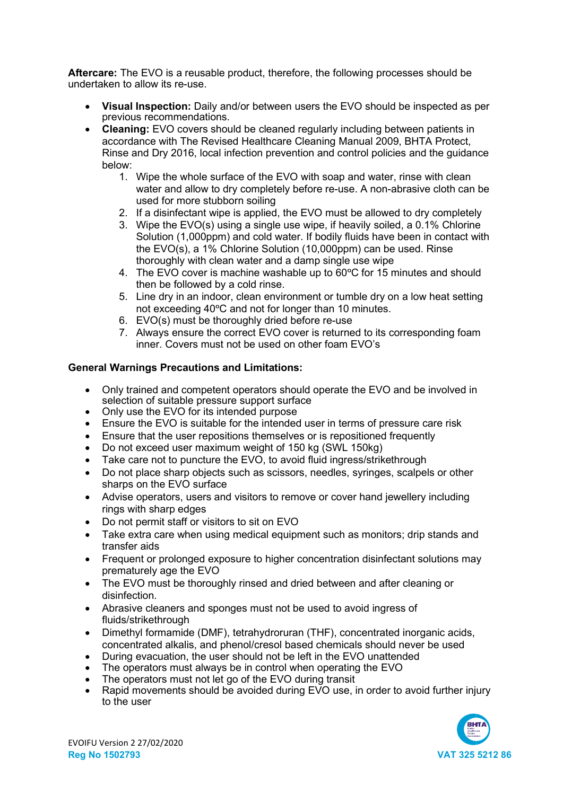Aftercare: The EVO is a reusable product, therefore, the following processes should be undertaken to allow its re-use.

- Visual Inspection: Daily and/or between users the EVO should be inspected as per previous recommendations.
- Cleaning: EVO covers should be cleaned regularly including between patients in accordance with The Revised Healthcare Cleaning Manual 2009, BHTA Protect, Rinse and Dry 2016, local infection prevention and control policies and the guidance below:
	- 1. Wipe the whole surface of the EVO with soap and water, rinse with clean water and allow to dry completely before re-use. A non-abrasive cloth can be used for more stubborn soiling
	- 2. If a disinfectant wipe is applied, the EVO must be allowed to dry completely
	- 3. Wipe the EVO(s) using a single use wipe, if heavily soiled, a 0.1% Chlorine Solution (1,000ppm) and cold water. If bodily fluids have been in contact with the EVO(s), a 1% Chlorine Solution (10,000ppm) can be used. Rinse thoroughly with clean water and a damp single use wipe
	- 4. The EVO cover is machine washable up to  $60^{\circ}$ C for 15 minutes and should then be followed by a cold rinse.
	- 5. Line dry in an indoor, clean environment or tumble dry on a low heat setting not exceeding 40°C and not for longer than 10 minutes.
	- 6. EVO(s) must be thoroughly dried before re-use
	- 7. Always ensure the correct EVO cover is returned to its corresponding foam inner. Covers must not be used on other foam EVO's

# General Warnings Precautions and Limitations:

- Only trained and competent operators should operate the EVO and be involved in selection of suitable pressure support surface
- Only use the EVO for its intended purpose
- Ensure the EVO is suitable for the intended user in terms of pressure care risk
- Ensure that the user repositions themselves or is repositioned frequently
- Do not exceed user maximum weight of 150 kg (SWL 150kg)
- Take care not to puncture the EVO, to avoid fluid ingress/strikethrough
- Do not place sharp objects such as scissors, needles, syringes, scalpels or other sharps on the EVO surface
- Advise operators, users and visitors to remove or cover hand jewellery including rings with sharp edges
- Do not permit staff or visitors to sit on EVO
- Take extra care when using medical equipment such as monitors; drip stands and transfer aids
- Frequent or prolonged exposure to higher concentration disinfectant solutions may prematurely age the EVO
- The EVO must be thoroughly rinsed and dried between and after cleaning or disinfection.
- Abrasive cleaners and sponges must not be used to avoid ingress of fluids/strikethrough
- Dimethyl formamide (DMF), tetrahydroruran (THF), concentrated inorganic acids, concentrated alkalis, and phenol/cresol based chemicals should never be used
- During evacuation, the user should not be left in the EVO unattended
- The operators must always be in control when operating the EVO
- The operators must not let go of the EVO during transit
- Rapid movements should be avoided during EVO use, in order to avoid further injury to the user